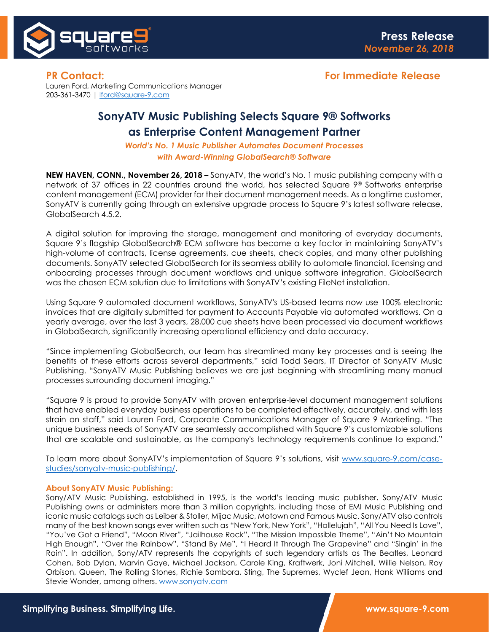

Lauren Ford, Marketing Communications Manager 203-361-3470 | [lford@square-9.com](mailto:lford@square-9.com)

## **SonyATV Music Publishing Selects Square 9® Softworks as Enterprise Content Management Partner**

*World's No. 1 Music Publisher Automates Document Processes with Award-Winning GlobalSearch® Software*

**NEW HAVEN, CONN., November 26, 2018 –** SonyATV, the world's No. 1 music publishing company with a network of 37 offices in 22 countries around the world, has selected Square 9*®* Softworks enterprise content management (ECM) provider for their document management needs. As a longtime customer, SonyATV is currently going through an extensive upgrade process to Square 9's latest software release, GlobalSearch 4.5.2.

A digital solution for improving the storage, management and monitoring of everyday documents, Square 9's flagship GlobalSearch® ECM software has become a key factor in maintaining SonyATV's high-volume of contracts, license agreements, cue sheets, check copies, and many other publishing documents. SonyATV selected GlobalSearch for its seamless ability to automate financial, licensing and onboarding processes through document workflows and unique software integration. GlobalSearch was the chosen ECM solution due to limitations with SonyATV's existing FileNet installation.

Using Square 9 automated document workflows, SonyATV's US-based teams now use 100% electronic invoices that are digitally submitted for payment to Accounts Payable via automated workflows. On a yearly average, over the last 3 years, 28,000 cue sheets have been processed via document workflows in GlobalSearch, significantly increasing operational efficiency and data accuracy.

"Since implementing GlobalSearch, our team has streamlined many key processes and is seeing the benefits of these efforts across several departments," said Todd Sears, IT Director of SonyATV Music Publishing. "SonyATV Music Publishing believes we are just beginning with streamlining many manual processes surrounding document imaging."

"Square 9 is proud to provide SonyATV with proven enterprise-level document management solutions that have enabled everyday business operations to be completed effectively, accurately, and with less strain on staff," said Lauren Ford, Corporate Communications Manager of Square 9 Marketing. "The unique business needs of SonyATV are seamlessly accomplished with Square 9's customizable solutions that are scalable and sustainable, as the company's technology requirements continue to expand."

To learn more about SonyATV's implementation of Square 9's solutions, visit [www.square-9.com/case](https://www.square-9.com/case-studies/sonyatv-music-publishing/)[studies/sonyatv-music-publishing/.](https://www.square-9.com/case-studies/sonyatv-music-publishing/)

## **About SonyATV Music Publishing:**

Sony/ATV Music Publishing, established in 1995, is the world's leading music publisher. Sony/ATV Music Publishing owns or administers more than 3 million copyrights, including those of EMI Music Publishing and iconic music catalogs such as Leiber & Stoller, Mijac Music, Motown and Famous Music. Sony/ATV also controls many of the best known songs ever written such as "New York, New York", "Hallelujah", "All You Need Is Love", "You've Got a Friend", "Moon River", "Jailhouse Rock", "The Mission Impossible Theme", "Ain't No Mountain High Enough", "Over the Rainbow", "Stand By Me", "I Heard It Through The Grapevine" and "Singin' in the Rain". In addition, Sony/ATV represents the copyrights of such legendary artists as The Beatles, Leonard Cohen, Bob Dylan, Marvin Gaye, Michael Jackson, Carole King, Kraftwerk, Joni Mitchell, Willie Nelson, Roy Orbison, Queen, The Rolling Stones, Richie Sambora, Sting, The Supremes, Wyclef Jean, Hank Williams and Stevie Wonder, among others. [www.sonyatv.com](http://www.sonyatv.com/)